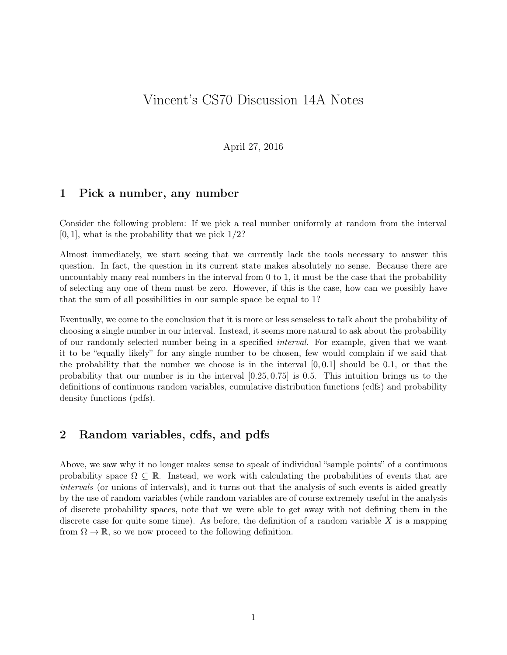# Vincent's CS70 Discussion 14A Notes

April 27, 2016

### 1 Pick a number, any number

Consider the following problem: If we pick a real number uniformly at random from the interval  $[0, 1]$ , what is the probability that we pick  $1/2$ ?

Almost immediately, we start seeing that we currently lack the tools necessary to answer this question. In fact, the question in its current state makes absolutely no sense. Because there are uncountably many real numbers in the interval from 0 to 1, it must be the case that the probability of selecting any one of them must be zero. However, if this is the case, how can we possibly have that the sum of all possibilities in our sample space be equal to 1?

Eventually, we come to the conclusion that it is more or less senseless to talk about the probability of choosing a single number in our interval. Instead, it seems more natural to ask about the probability of our randomly selected number being in a specified interval. For example, given that we want it to be "equally likely" for any single number to be chosen, few would complain if we said that the probability that the number we choose is in the interval  $[0, 0.1]$  should be 0.1, or that the probability that our number is in the interval [0.25, 0.75] is 0.5. This intuition brings us to the definitions of continuous random variables, cumulative distribution functions (cdfs) and probability density functions (pdfs).

## 2 Random variables, cdfs, and pdfs

Above, we saw why it no longer makes sense to speak of individual "sample points" of a continuous probability space  $\Omega \subseteq \mathbb{R}$ . Instead, we work with calculating the probabilities of events that are intervals (or unions of intervals), and it turns out that the analysis of such events is aided greatly by the use of random variables (while random variables are of course extremely useful in the analysis of discrete probability spaces, note that we were able to get away with not defining them in the discrete case for quite some time). As before, the definition of a random variable  $X$  is a mapping from  $\Omega \to \mathbb{R}$ , so we now proceed to the following definition.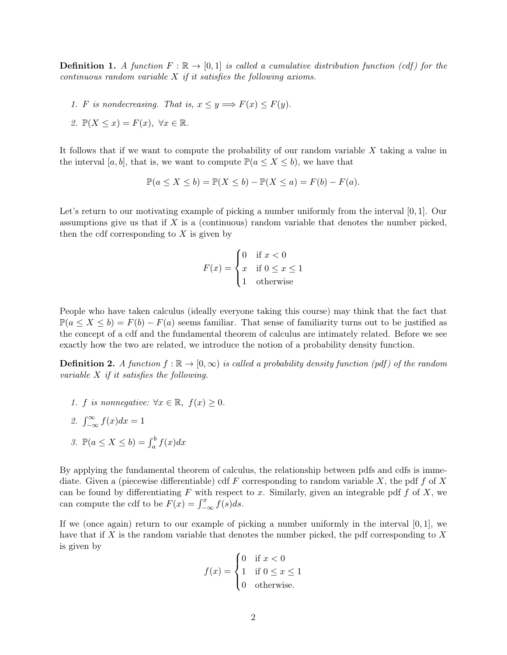**Definition 1.** A function  $F : \mathbb{R} \to [0,1]$  is called a cumulative distribution function (cdf) for the continuous random variable  $X$  if it satisfies the following axioms.

1. F is nondecreasing. That is,  $x \le y \Longrightarrow F(x) \le F(y)$ .

2. 
$$
\mathbb{P}(X \leq x) = F(x), \ \forall x \in \mathbb{R}.
$$

It follows that if we want to compute the probability of our random variable X taking a value in the interval [a, b], that is, we want to compute  $\mathbb{P}(a \leq X \leq b)$ , we have that

$$
\mathbb{P}(a \le X \le b) = \mathbb{P}(X \le b) - \mathbb{P}(X \le a) = F(b) - F(a).
$$

Let's return to our motivating example of picking a number uniformly from the interval [0, 1]. Our assumptions give us that if  $X$  is a (continuous) random variable that denotes the number picked, then the cdf corresponding to  $X$  is given by

$$
F(x) = \begin{cases} 0 & \text{if } x < 0\\ x & \text{if } 0 \le x \le 1\\ 1 & \text{otherwise} \end{cases}
$$

People who have taken calculus (ideally everyone taking this course) may think that the fact that  $\mathbb{P}(a \leq X \leq b) = F(b) - F(a)$  seems familiar. That sense of familiarity turns out to be justified as the concept of a cdf and the fundamental theorem of calculus are intimately related. Before we see exactly how the two are related, we introduce the notion of a probability density function.

**Definition 2.** A function  $f : \mathbb{R} \to [0, \infty)$  is called a probability density function (pdf) of the random variable X if it satisfies the following.

- 1. f is nonnegative:  $\forall x \in \mathbb{R}, f(x) \geq 0$ .
- 2.  $\int_{-\infty}^{\infty} f(x)dx = 1$
- 3.  $\mathbb{P}(a \le X \le b) = \int_a^b f(x) dx$

By applying the fundamental theorem of calculus, the relationship between pdfs and cdfs is immediate. Given a (piecewise differentiable) cdf  $F$  corresponding to random variable  $X$ , the pdf  $f$  of  $X$ can be found by differentiating  $F$  with respect to x. Similarly, given an integrable pdf  $f$  of  $X$ , we can compute the cdf to be  $F(x) = \int_{-\infty}^{x} f(s)ds$ .

If we (once again) return to our example of picking a number uniformly in the interval  $[0, 1]$ , we have that if X is the random variable that denotes the number picked, the pdf corresponding to  $X$ is given by

$$
f(x) = \begin{cases} 0 & \text{if } x < 0 \\ 1 & \text{if } 0 \le x \le 1 \\ 0 & \text{otherwise.} \end{cases}
$$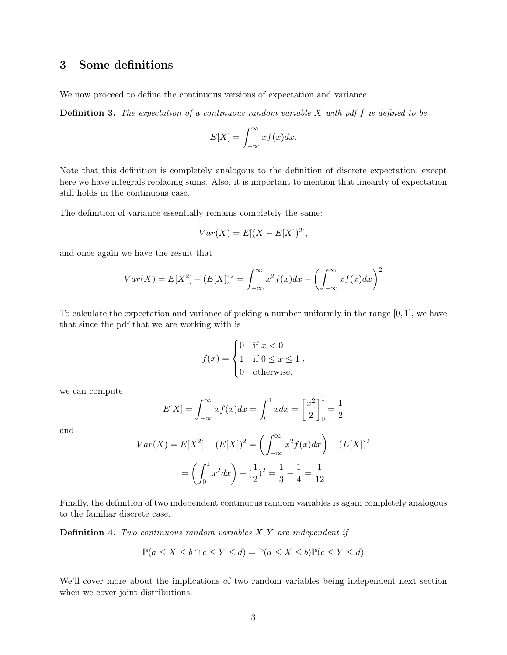# 3 Some definitions

We now proceed to define the continuous versions of expectation and variance.

**Definition 3.** The expectation of a continuous random variable  $X$  with pdf  $f$  is defined to be

$$
E[X] = \int_{-\infty}^{\infty} x f(x) dx.
$$

Note that this definition is completely analogous to the definition of discrete expectation, except here we have integrals replacing sums. Also, it is important to mention that linearity of expectation still holds in the continuous case.

The definition of variance essentially remains completely the same:

$$
Var(X) = E[(X - E[X])^2],
$$

and once again we have the result that

$$
Var(X) = E[X2] - (E[X])2 = \int_{-\infty}^{\infty} x2 f(x) dx - \left(\int_{-\infty}^{\infty} x f(x) dx\right)^{2}
$$

To calculate the expectation and variance of picking a number uniformly in the range [0, 1], we have that since the pdf that we are working with is

$$
f(x) = \begin{cases} 0 & \text{if } x < 0 \\ 1 & \text{if } 0 \le x \le 1 \\ 0 & \text{otherwise,} \end{cases}
$$

we can compute

$$
E[X] = \int_{-\infty}^{\infty} x f(x) dx = \int_{0}^{1} x dx = \left[\frac{x^{2}}{2}\right]_{0}^{1} = \frac{1}{2}
$$

and

$$
Var(X) = E[X2] - (E[X])2 = \left(\int_{-\infty}^{\infty} x2 f(x) dx\right) - (E[X])2
$$

$$
= \left(\int_{0}^{1} x2 dx\right) - \left(\frac{1}{2}\right)^{2} = \frac{1}{3} - \frac{1}{4} = \frac{1}{12}
$$

Finally, the definition of two independent continuous random variables is again completely analogous to the familiar discrete case.

**Definition 4.** Two continuous random variables  $X, Y$  are independent if

$$
\mathbb{P}(a \le X \le b \cap c \le Y \le d) = \mathbb{P}(a \le X \le b)\mathbb{P}(c \le Y \le d)
$$

We'll cover more about the implications of two random variables being independent next section when we cover joint distributions.